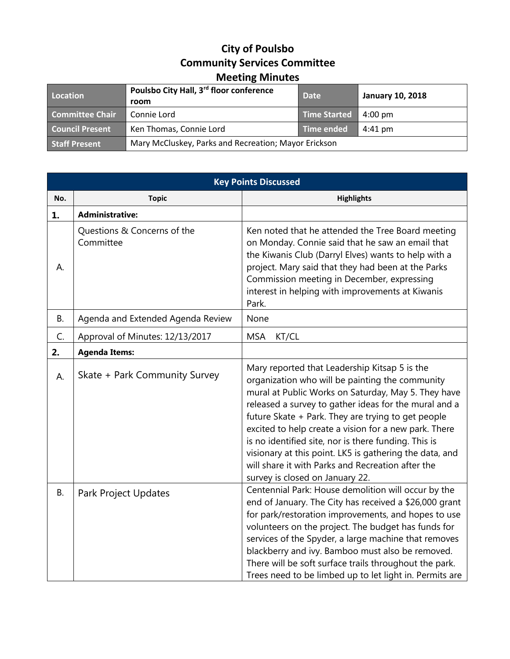## **City of Poulsbo Community Services Committee Meeting Minutes**

| Location               | Poulsbo City Hall, 3 <sup>rd</sup> floor conference  | <b>Date</b>         | <b>January 10, 2018</b> |
|------------------------|------------------------------------------------------|---------------------|-------------------------|
|                        | room                                                 |                     |                         |
| <b>Committee Chair</b> | Connie Lord                                          | <b>Time Started</b> | $4:00 \text{ pm}$       |
| <b>Council Present</b> | Ken Thomas, Connie Lord                              | Time ended          | $4:41 \text{ pm}$       |
| <b>Staff Present</b>   | Mary McCluskey, Parks and Recreation; Mayor Erickson |                     |                         |

| <b>Key Points Discussed</b> |                                          |                                                                                                                                                                                                                                                                                                                                                                                                                                                                                                                                            |  |
|-----------------------------|------------------------------------------|--------------------------------------------------------------------------------------------------------------------------------------------------------------------------------------------------------------------------------------------------------------------------------------------------------------------------------------------------------------------------------------------------------------------------------------------------------------------------------------------------------------------------------------------|--|
| No.                         | <b>Topic</b>                             | <b>Highlights</b>                                                                                                                                                                                                                                                                                                                                                                                                                                                                                                                          |  |
| 1.                          | <b>Administrative:</b>                   |                                                                                                                                                                                                                                                                                                                                                                                                                                                                                                                                            |  |
| А.                          | Questions & Concerns of the<br>Committee | Ken noted that he attended the Tree Board meeting<br>on Monday. Connie said that he saw an email that<br>the Kiwanis Club (Darryl Elves) wants to help with a<br>project. Mary said that they had been at the Parks<br>Commission meeting in December, expressing<br>interest in helping with improvements at Kiwanis<br>Park.                                                                                                                                                                                                             |  |
| <b>B.</b>                   | Agenda and Extended Agenda Review        | None                                                                                                                                                                                                                                                                                                                                                                                                                                                                                                                                       |  |
| C.                          | Approval of Minutes: 12/13/2017          | <b>MSA</b><br>KT/CL                                                                                                                                                                                                                                                                                                                                                                                                                                                                                                                        |  |
| 2.                          | <b>Agenda Items:</b>                     |                                                                                                                                                                                                                                                                                                                                                                                                                                                                                                                                            |  |
| A.                          | Skate + Park Community Survey            | Mary reported that Leadership Kitsap 5 is the<br>organization who will be painting the community<br>mural at Public Works on Saturday, May 5. They have<br>released a survey to gather ideas for the mural and a<br>future Skate + Park. They are trying to get people<br>excited to help create a vision for a new park. There<br>is no identified site, nor is there funding. This is<br>visionary at this point. LK5 is gathering the data, and<br>will share it with Parks and Recreation after the<br>survey is closed on January 22. |  |
| <b>B.</b>                   | Park Project Updates                     | Centennial Park: House demolition will occur by the<br>end of January. The City has received a \$26,000 grant<br>for park/restoration improvements, and hopes to use<br>volunteers on the project. The budget has funds for<br>services of the Spyder, a large machine that removes<br>blackberry and ivy. Bamboo must also be removed.<br>There will be soft surface trails throughout the park.<br>Trees need to be limbed up to let light in. Permits are                                                                               |  |